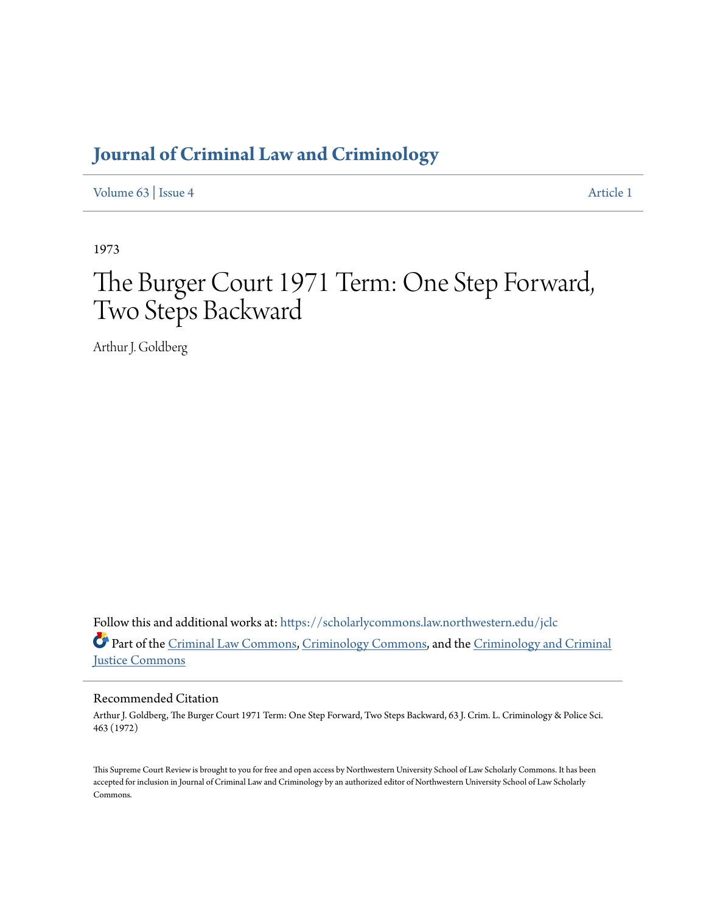## **[Journal of Criminal Law and Criminology](https://scholarlycommons.law.northwestern.edu/jclc?utm_source=scholarlycommons.law.northwestern.edu%2Fjclc%2Fvol63%2Fiss4%2F1&utm_medium=PDF&utm_campaign=PDFCoverPages)**

[Volume 63](https://scholarlycommons.law.northwestern.edu/jclc/vol63?utm_source=scholarlycommons.law.northwestern.edu%2Fjclc%2Fvol63%2Fiss4%2F1&utm_medium=PDF&utm_campaign=PDFCoverPages) | [Issue 4](https://scholarlycommons.law.northwestern.edu/jclc/vol63/iss4?utm_source=scholarlycommons.law.northwestern.edu%2Fjclc%2Fvol63%2Fiss4%2F1&utm_medium=PDF&utm_campaign=PDFCoverPages) [Article 1](https://scholarlycommons.law.northwestern.edu/jclc/vol63/iss4/1?utm_source=scholarlycommons.law.northwestern.edu%2Fjclc%2Fvol63%2Fiss4%2F1&utm_medium=PDF&utm_campaign=PDFCoverPages)

1973

# The Burger Court 1971 Term: One Step Forward, Two Steps Backward

Arthur J. Goldberg

Follow this and additional works at: [https://scholarlycommons.law.northwestern.edu/jclc](https://scholarlycommons.law.northwestern.edu/jclc?utm_source=scholarlycommons.law.northwestern.edu%2Fjclc%2Fvol63%2Fiss4%2F1&utm_medium=PDF&utm_campaign=PDFCoverPages) Part of the [Criminal Law Commons](http://network.bepress.com/hgg/discipline/912?utm_source=scholarlycommons.law.northwestern.edu%2Fjclc%2Fvol63%2Fiss4%2F1&utm_medium=PDF&utm_campaign=PDFCoverPages), [Criminology Commons](http://network.bepress.com/hgg/discipline/417?utm_source=scholarlycommons.law.northwestern.edu%2Fjclc%2Fvol63%2Fiss4%2F1&utm_medium=PDF&utm_campaign=PDFCoverPages), and the [Criminology and Criminal](http://network.bepress.com/hgg/discipline/367?utm_source=scholarlycommons.law.northwestern.edu%2Fjclc%2Fvol63%2Fiss4%2F1&utm_medium=PDF&utm_campaign=PDFCoverPages) [Justice Commons](http://network.bepress.com/hgg/discipline/367?utm_source=scholarlycommons.law.northwestern.edu%2Fjclc%2Fvol63%2Fiss4%2F1&utm_medium=PDF&utm_campaign=PDFCoverPages)

### Recommended Citation

Arthur J. Goldberg, The Burger Court 1971 Term: One Step Forward, Two Steps Backward, 63 J. Crim. L. Criminology & Police Sci. 463 (1972)

This Supreme Court Review is brought to you for free and open access by Northwestern University School of Law Scholarly Commons. It has been accepted for inclusion in Journal of Criminal Law and Criminology by an authorized editor of Northwestern University School of Law Scholarly Commons.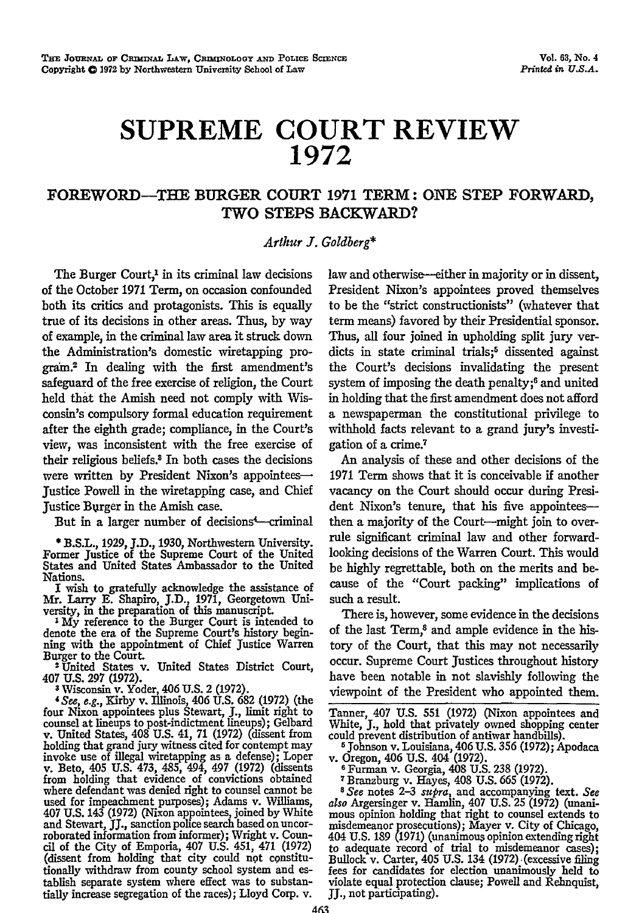# **SUPREME COURT REVIEW 1972**

### **FOREWORD-THE BURGER COURT 1971 TERM: ONE STEP FORWARD, TWO STEPS BACKWARD?**

#### *Arthur J. Goldberg\**

The Burger Court,<sup>1</sup> in its criminal law decisions of the October **1971** Term, on occasion confounded both its critics and protagonists. This is equally true of its decisions in other areas. Thus, by way of example, in the criminal law area it struck down the Administration's domestic wiretapping program.2 In dealing with the first amendment's safeguard of the free exercise of religion, the Court held that the Amish need not comply with Wisconsin's compulsory formal education requirement after the eighth grade; compliance, in the Court's view, was inconsistent with the free exercise of their religious beliefs.3 In both cases the decisions were written by President Nixon's appointeesjustice Powell in the wiretapping case, and Chief Justice Burger in the Amish case.

But in a larger number of decisions<sup>4</sup>-criminal

**\*** B.S.L., 1929, J.D., 1930, Northwestern University. Former Justice of the Supreme Court of the United States and United States Ambassador to the United Nations.

I wish to gratefully acknowledge the assistance of Mr. Larry E. Shapiro, J.D., 1971, Georgetown University, in the preparation of this manuscript.

**IMy** reference to the Burger Court is intended to denote the era of the Supreme Court's history begin-ning with the appointment of Chief Justice Warren Burger to the Court.

2United States v. United States District Court, 407 U.S. 297 (1972).

' Wisconsin v. Yoder, 406 U.S. 2 (1972). *'See, e.g.,* Kirby v. Illinois, 406 U.S. **682** (1972) (the four Nixon appointees plus Stewart, **J.,** limit right to counsel at lineups to post-indictment lineups); Gelbard v. United States, 408 U.S. 41, **71** (1972) (dissent from holding that grand jury witness cited for contempt may invoke use of illegal wiretapping as a defense); Loper v. Beto, 405 U.S. 473, 485, 494, 497 (1972) (dissents from holding that evidence of convictions obtained where defendant was denied right to counsel cannot be used for impeachment purposes); Adams v. Williams, 407 U.S. 143 (1972) (Nixon appointees, joined by White and Stewart, JJ., sanction police search based on uncor- roborated information from informer); Wright v. Council of the City of Emporia, 407 U.S. 451, 471 (1972) (dissent from holding that city could not constitutionally withdraw from county school system and establish separate system where effect was to substantially increase segregation of the races); Lloyd Corp. v.

law and otherwise-either in majority or in dissent, President Nixon's appointees proved themselves to be the "strict constructionists" (whatever that term means) favored by their Presidential sponsor. Thus, all four joined in upholding split jury verdicts in state criminal trials;<sup>5</sup> dissented against the Court's decisions invalidating the present system of imposing the death penalty;6 and united in holding that the first amendment does not afford a newspaperman the constitutional privilege to withhold facts relevant to a grand jury's investigation of a crime.<sup>7</sup>

An analysis of these and other decisions of the 1971 Term shows that it is conceivable if another vacancy on the Court should occur during President Nixon's tenure, that his five appointeesthen a majority of the Court-might join to overrule significant criminal law and other forwardlooking decisions of the Warren Court. This would be highly regrettable, both on the merits and because of the "Court packing" implications of such a result.

There is, however, some evidence in the decisions of the last Term,8 and ample evidence in the history of the Court, that this may not necessarily occur. Supreme Court justices throughout history have been notable in not slavishly following the viewpoint of the President who appointed them.

Tanner, 407 U.S. 551 (1972) (Nixon appointees and White, **J.,** hold that privately owned shopping center

could prevent distribution of antiwar handbills).<br>
<sup>5</sup> Johnson v. Louisiana, 406 U.S. 356 (1972); Apodaca<br>
v. Oregon, 406 U.S. 404 (1972). Fohnson v. Louisiana, 406 U.S. 356 (1972); Apodaca<br>v. Oregon, 406 U.S. 404 (1972).<br><sup>6</sup> Furman v. Georgia, 408 U.S. 238 (1972).<br><sup>7</sup> Branzburg v. Hayes, 408 U.S. 665 (1972).<br><sup>8</sup> See notes 2-3 *supra*, and accompanying text.

*also* Argersinger v. Hamlin, 407 U.S. 25 (1972) (unani- mous opinion holding that right to counsel extends to misdemeanor prosecutions); Mayer v. City of Chicago, 404 U.S. 189 (1971) (unanimous opinion extending right to adequate record of trial to misdemeanor cases); Bullock v. Carter, 405 U.S. 134 (1972) (excessive filing fees for candidates for election unanimously held to violate equal protection clause; Powell and Rehnquist, JJ., not participating).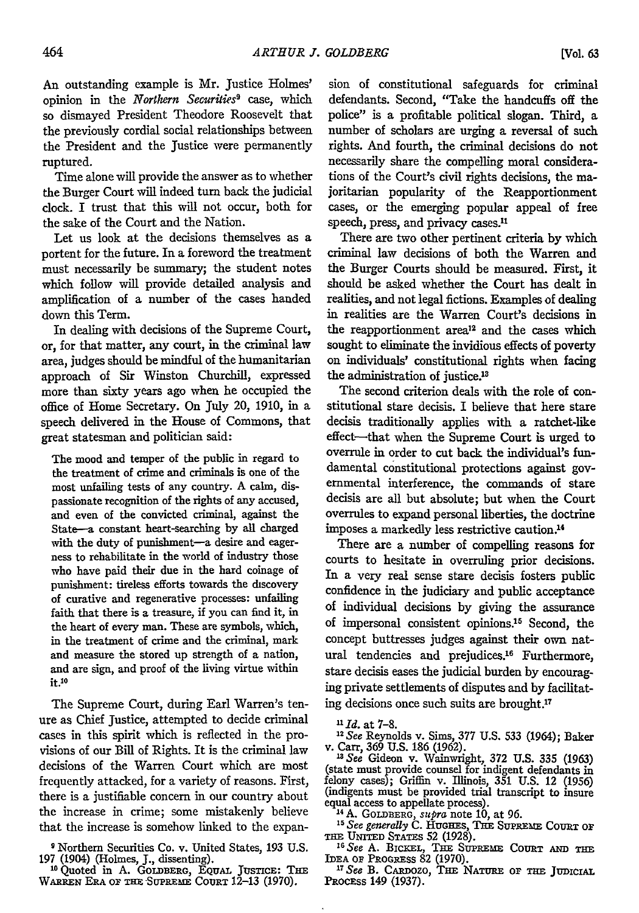An outstanding example is Mr. Justice Holmes' opinion in the *Northern* Securities*9* case, which so dismayed President Theodore Roosevelt that the previously cordial social relationships between the President and the Justice were permanently ruptured.

Time alone will provide the answer as to whether the Burger Court will indeed turn back the judicial dock. I trust that this will not occur, both for the sake of the Court and the Nation.

Let us look at the decisions themselves as a portent for the future. In a foreword the treatment must necessarily be summary; the student notes which follow will provide detailed analysis and amplification of a number of the cases handed down this Term.

In dealing with decisions of the Supreme Court, or, for that matter, any court, in the criminal law area, judges should be mindful of the humanitarian approach of Sir Winston Churchill, expressed more than sixty years ago when he occupied the office of Home Secretary. On July 20, 1910, in a speech delivered in the House of Commons, that great statesman and politician said:

The mood and temper of the public in regard to the treatment of crime and criminals is one of the most unfailing tests of any country. **A** calm, dispassionate recognition of the rights of any accused, and even of the convicted criminal, against the State-a constant heart-searching by all charged with the duty of punishment-a desire and eagerness to rehabilitate in the world of industry those who have paid their due in the hard coinage of punishment: tireless efforts towards the discovery of curative and regenerative processes: unfailing faith that there is a treasure, if you can find it, in the heart of every man. These are symbols, which, in the treatment of crime and the criminal, mark and measure the stored up strength of a nation, and are sign, and proof of the living virtue within it.<sup>10</sup>

The Supreme Court, during Earl Warren's tenure as Chief Justice, attempted to decide criminal cases in this spirit which is reflected in the provisions of our Bill of Rights. It is the criminal law decisions of the Warren Court which are most frequently attacked, for a variety of reasons. First, there is a justifiable concern in our country about the increase in crime; some mistakenly believe that the increase is somehow linked to the expan-

**9** Northern Securities Co. v. United States, 193 U.S. 197 (1904) (Holmes, J., dissenting).<br><sup>10</sup> Quoted in A. GOLDBERG, EQUAL JUSTICE: THE

WARREN ERA OF THE SUPREME COURT 12-13 (1970)

sion of constitutional safeguards for criminal defendants. Second, "Take the handcuffs off the police" is a profitable political slogan. Third, a number of scholars are urging a reversal of such rights. And fourth, the criminal decisions do not necessarily share the compelling moral considerations of the Court's civil rights decisions, the majoritarian popularity of the Reapportionment cases, or the emerging popular appeal of free speech, press, and privacy cases.<sup>11</sup>

There are two other pertinent criteria **by** which criminal law decisions of both the Warren and the Burger Courts should be measured. First, it should be asked whether the Court has dealt in realities, and not legal fictions. Examples of dealing in realities are the Warren Court's decisions in the reapportionment area<sup>12</sup> and the cases which sought to eliminate the invidious effects of poverty on individuals' constitutional rights when facing the administration of justice.<sup>13</sup>

The second criterion deals with the role of constitutional stare decisis. I believe that here stare decisis traditionally applies with a ratchet-like effect-that when the Supreme Court is urged to overrule in order to cut back the individual's fundamental constitutional protections against governmental interference, the commands of stare decisis are all but absolute; but when the Court overrules to expand personal liberties, the doctrine imposes a markedly less restrictive caution <sup>4</sup>

There are a number of compelling reasons for courts to hesitate in overruling prior decisions. In a very real sense stare decisis fosters public confidence in the judiciary and public acceptance of individual decisions **by** giving the assurance of impersonal consistent opinions.15 Second, the concept buttresses judges against their own natural tendencies and prejudices.16 Furthermore, stare decisis eases the judicial burden **by** encouraging private settlements of disputes and **by** facilitating decisions once such suits are brought.<sup>17</sup>

<sup>12</sup> See Reynolds v. Sims, 377 U.S. 533 (1964); Baker v. Carr, 369 U.S. 186 (1962).<br><sup>13</sup> See Gideon v. Wainwright, 372 U.S. 335 (1963) (state must provide counsel for indigent defendants in

felony cases); Griffin v. Illinois, 351 U.S. 12 (1956) (indigents must be provided trial transcript to insure equal access to appellate process).

**i4 A.** GOLDBERG, *supra* note **10,** at 96. *See generally* **C.** HuGHEs, **T3E** SurPRm- **CoURT** or

THE UNITED STATES 52 (1928).<br><sup>16</sup> See A. BICKEL, THE SUPREME COURT AND THE<br>
IDEA OF PROGRESS 82 (1970).<br><sup>*II</sup> See* B. CARDOZO, THE NATURE OF THE JUDICIAL</sup>

PRocEss 149 (1937).

*n Id.* at **7-8.**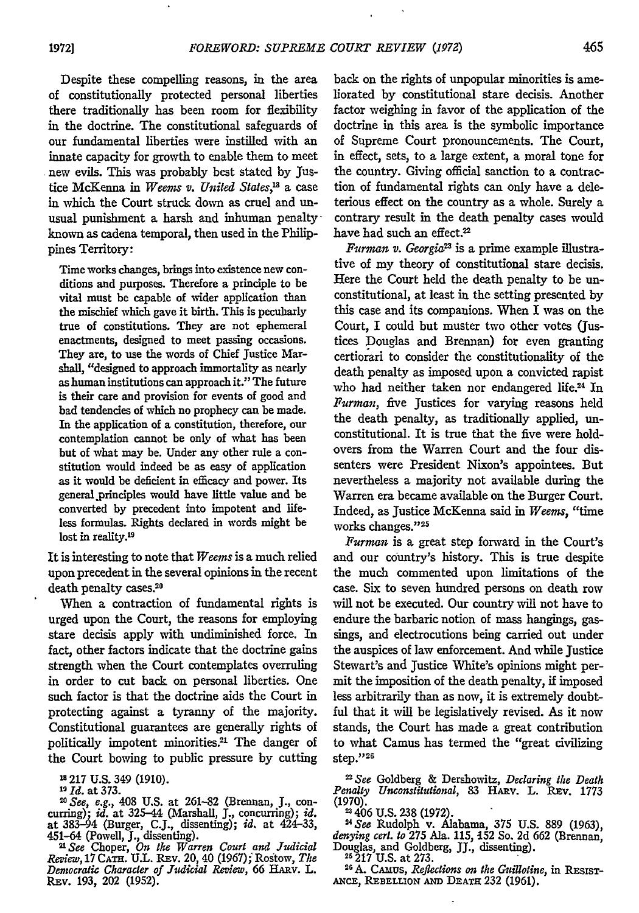Despite these compelling reasons, in the area of constitutionally protected personal liberties there traditionally has been room for flexibility **in** the doctrine. The constitutional safeguards of our fundamental liberties were instilled with an innate capacity for growth to enable them to meet new evils. This was probably best stated by Justice McKenna in *Weems v. United States,1'* a case in which the Court struck down as cruel and unusual punishment a harsh and inhuman penalty known as cadena temporal, then used in the Philippines Territory:

Time works changes, brings into existence new conditions and purposes. Therefore a principle to be vital must be capable of wider application than the mischief which gave it birth. This is pecuharly true of constitutions. They are not ephemeral enactments, designed to meet passing occasions. They are, to use the words of Chief justice Marshall, "designed to approach immortality as nearly as human institutions can approach it." The future is their care and provision for events of good and bad tendencies of which no prophecy can be made. In the application of a constitution, therefore, our contemplation cannot be only of what has been but of what may be. Under any other rule a constitution would indeed be as easy of application as it would be deficient in efficacy and power. Its general.principles would have little value and be converted **by** precedent into impotent and lifeless formulas. Rights declared in words might be lost in reality.<sup>19</sup>

It is interesting to note that *Weems* is a much relied upon precedent in the several opinions in the recent death penalty cases.<sup>20</sup>

When a contraction of fundamental rights is urged upon the Court, the reasons for employing stare decisis apply with undiminished force. In fact, other factors indicate that the doctrine gains strength when the Court contemplates overruling in order to cut back on personal liberties. One such factor is that the doctrine aids the Court in protecting against a tyranny of the majority. Constitutional guarantees are generally rights of politically impotent minorities.<sup>21</sup> The danger of the Court bowing to public pressure **by** cutting

**- 217 U.S.** 349 **(1910).**

*19 Id.* at **373.**

*"1 See, e.g.,* 408 **U.S.** at 261-82 (Brennan, **J.,** con- curring); *id.* at 325-44 (Marshall, **J.,** concurring); id. at 383-94 (Burger, C.J., dissenting); id. at 424-33, 451-64 (Powell, J., dissenting).<br>451-64 (Powell, J., dissenting).<br><sup>21</sup> See Choper, *On the Warren Court and Judicial*<br>Review, 17 CATH. U.L. REV. 20, 40 (1967); Rostow, T

*Democratic* Character of Judicial *Review,* **66** HAnv. L. REv. 193, 202 (1952).

back on the rights of unpopular minorities is ameliorated by constitutional stare decisis. Another factor weighing in favor of the application of the doctrine in this area is the symbolic importance of Supreme Court pronouncements. The Court, in effect, sets, to a large extent, a moral tone for the country. Giving official sanction to a contraction of fundamental rights can only have a deleterious effect on the country as a whole. Surely a contrary result in the death penalty cases would have had such an effect.<sup>22</sup>

*Furman v. Georgia"* is a prime example illustrative of my theory of constitutional stare decisis. Here the Court held the death penalty to be unconstitutional, at least in the setting presented by this case and its companions. When I was on the Court, I could but muster two other votes (Justices Douglas and Brennan) for even granting certiorari to consider the constitutionality of the death penalty as imposed upon a convicted rapist who had neither taken nor endangered life.<sup>24</sup> In *Furman,* five Justices for varying reasons held the death penalty, as traditionally applied, unconstitutional. It is true that the five were holdovers from the Warren Court and the four dissenters were President Nixon's appointees. But nevertheless a majority not available during the Warren era became available on the Burger Court. Indeed, as Justice McKenna said in *Weems,* "time works changes."25

*Furman* is a great step forward in the Court's and our country's history. This is true despite the much commented upon limitations of the case. Six to seven hundred persons on death row will not be executed. Our country will not have to endure the barbaric notion of mass hangings, gassings, and electrocutions being carried out under the auspices of law enforcement. And while Justice Stewart's and Justice White's opinions might permit the imposition of the death penalty, **if** imposed less arbitrarily than as now, it is extremely doubtful that it will be legislatively revised. As it now stands, the Court has made a great contribution to what Camus has termed the "great civilizing step."26

*"2See* Goldberg & Dershowitz, *Declaring the Death Penalty Unconstitutional,* 83 HAnv. L. **Rv.** <sup>1773</sup>

(1970). -406 U.S. 238 (1972). *<sup>24</sup> See* Rudolph v. Alabama, 375 U.S. 889 (1963), *denying cert. to* **275** Ala. **115, 152** So. **2d 662** (Brennan, Douglas, and Goldberg, JJ., dissenting). **<sup>21217</sup>**U.S. at 273.

**26 A.** CAmus, *Reflections on the Guillotine,* in Rxslsr-**ANcE, REBELLION AND DEATH** 232 (1961).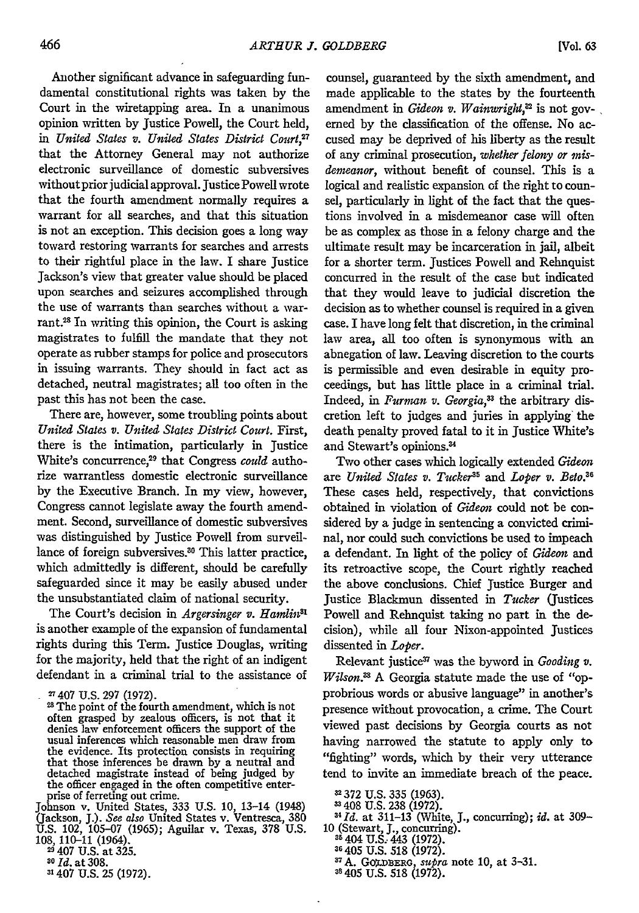Another significant advance in safeguarding fundamental constitutional rights was taken by the Court in the wiretapping area. In a unanimous opinion written by Justice Powell, the Court held, in *United States v. United States District Court,2 <sup>7</sup>* that the Attorney General may not authorize electronic surveillance of domestic subversives without prior judicial approval. Justice Powell wrote that the fourth amendment normally requires a warrant for all searches, and that this situation is not an exception. This decision goes a long way toward restoring warrants for searches and arrests to their rightful place in the law. I share Justice Jackson's view that greater value should be placed upon searches and seizures accomplished through the use of warrants than searches without a warrant.<sup>28</sup> In writing this opinion, the Court is asking magistrates to fulfill the mandate that they not operate as rubber stamps for police and prosecutors in issuing warrants. They should in fact act as detached, neutral magistrates; all too often in the past this has not been the case.

There are, however, some troubling points about *United States v. United States District Court.* First, there is the intimation, particularly in Justice White's concurrence,<sup>29</sup> that Congress *could* authorize warrantless domestic electronic surveillance by the Executive Branch. In my view, however, Congress cannot legislate away the fourth amendment. Second, surveillance of domestic subversives was distinguished by Justice Powell from surveillance of foreign subversives.<sup>30</sup> This latter practice, which admittedly is different, should be carefully safeguarded since it may be easily abused under the unsubstantiated claim of national security.

The Court's decision in *Argersinger v. Hamlin*<sup>31</sup> is another example of the expansion of fundamental rights during this Term. Justice Douglas, writing for the majority, held that the right of an indigent defendant in a criminal trial to the assistance of

Johnson v. United States, 333 U.S. 10, 13-14 (1948) (Jackson, J.). *See also* United States v. Ventresca, 380 U.S. 102, 105-07 (1965); Aguilar v. Texas, 378 U.S. 108, 110-11 (1964).<br><sup>29</sup> 407 U.S. at 325.

counsel, guaranteed by the sixth amendment, and made applicable to the states by the fourteenth amendment in *Gideon v. Wainwright*,<sup>32</sup> is not governed by the classification of the offense. No accused may be deprived of his liberty as the result of any criminal prosecution, *whether felony or misdenteanor,* without benefit of counsel. This is a logical and realistic expansion of the right to counsel, particularly in light of the fact that the questions involved in a misdemeanor case will often be as complex as those in a felony charge and the ultimate result may be incarceration in jail, albeit for a shorter term. Justices Powell and Rehnquist concurred in the result of the case but indicated that they would leave to judicial discretion the decision as to whether counsel is required in a given case. I have long felt that discretion, in the criminal law area, all too often is synonymous with an abnegation of law. Leaving discretion to the courts is permissible and even desirable in equity proceedings, but has little place in a criminal trial. Indeed, in *Furman v. Georgia*,<sup>33</sup> the arbitrary discretion left to judges and juries in applying the death penalty proved fatal to it in Justice White's and Stewart's opinions.4

Two other cases which logically extended *Gideon* are *United States v. Tucker*<sup>35</sup> and *Loper v. Beto.*<sup>36</sup> These cases held, respectively, that convictions obtained in violation of *Gideon* could not be considered by a judge in sentencing a convicted criminal, nor could such convictions be used to impeach a defendant. In light of the policy of *Gideon* and its retroactive scope, the Court rightly reached the above conclusions. Chief Justice Burger and Justice Blackmun dissented in *Tucker* (Justices Powell and Rehnquist taking no part in the decision), while all four Nixon-appointed Justices dissented in *Loper.*

Relevant justice<sup>37</sup> was the byword in *Gooding v*. *Wilson.*<sup>33</sup> A Georgia statute made the use of "opprobrious words or abusive language" in another's presence without provocation, a crime. The Court viewed past decisions by Georgia courts as not having narrowed the statute to apply only to "fighting" words, which by their very utterance tend to invite an immediate breach of the peace.

<sup>37</sup> A. GOLDBERG, *supra* note 10, at 3-31. <sup>38</sup> 405 U.S. 518 (1972).

**<sup>2</sup>** 407 U.S. 297 (1972).

<sup>28</sup> The point of the fourth amendment, which is not often grasped by zealous officers, is not that it denies law enforcement officers the support of the usual inferences which reasonable men draw from the evidence. Its protection consists in requiring that those inferences be drawn by a neutral and detached magistrate instead of being judged by the officer engaged in the often competitive enterprise of ferreting out crime.

*<sup>20</sup>Id.* at 308.

<sup>31407</sup> U.S. 25 (1972).

<sup>372</sup> U.S. 335 (1963). 408 U.S. 238 (1972).

*I 41d.* at 311-13 (White, J., concurring); *id.* at 309- 10 (Stewart, J., concurring). **<sup>35</sup>**404 **U.S.-** 443 (1972).

**<sup>20405</sup>** U.S. 518 (1972).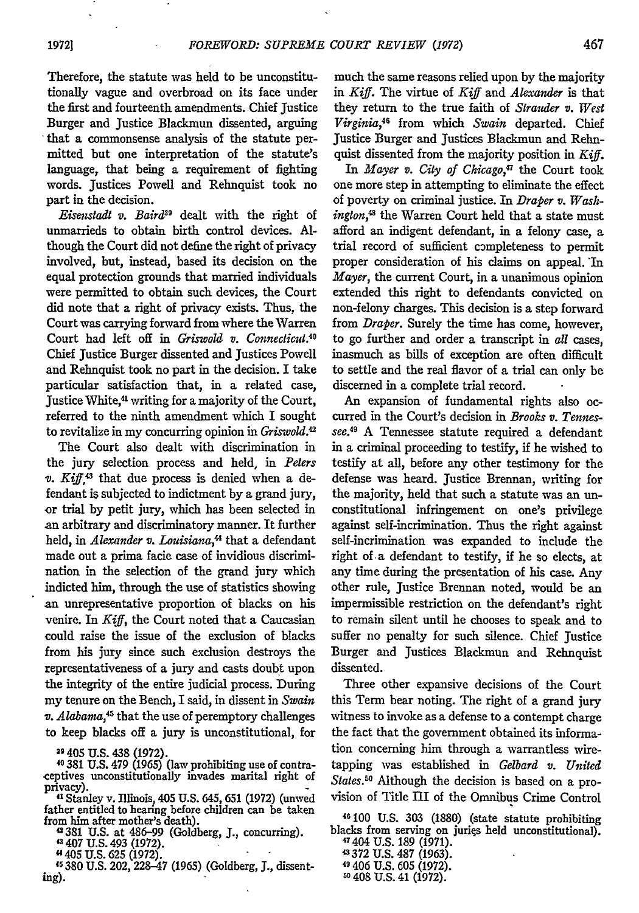Therefore, the statute was held to be unconstitutionally vague and overbroad on its face under the first and fourteenth amendments. Chief justice Burger and Justice Blackmun dissented, arguing that a commonsense analysis of the statute permitted but one interpretation of the statute's language, that being a requirement of fighting words. Justices Powell and Rehnquist took no part in the decision.

*Eisenstadt v. Baird9* dealt with the right of unmarrieds to obtain birth control devices. Although the Court did not define the right of privacy involved, but, instead, based its decision on the equal protection grounds that married individuals were permitted to obtain such devices, the Court did note that a right of privacy exists. Thus, the Court was carrying forward from where the Warren Court had left off in *Griswold v. Connecticut.<sup>0</sup>* Chief Justice Burger dissented and Justices Powell and Rehnquist took no part in the decision. I take particular satisfaction that, in a related case, Justice White,<sup>41</sup> writing for a majority of the Court, referred to the ninth amendment which I sought to revitalize in my concurring opinion in *Griswold.2*

The Court also dealt with discrimination in the jury selection process and held, in *Peters*  $v.$  Kiff.<sup>43</sup> that due process is denied when a defendant is subjected to indictment by a grand jury, or trial by petit jury, which has been selected in an arbitrary and discriminatory manner. It further held, in *Alexander v. Louisiana,"* that a defendant made out a prima facie case of invidious discrimination in the selection of the grand jury which indicted him, through the use of statistics showing an unrepresentative proportion of blacks on his venire. In *Kiff,* the Court noted that a Caucasian could raise the issue of the exclusion of blacks from his jury since such exclusion destroys the representativeness of a jury and casts doubt upon the integrity of the entire judicial process. During my tenure on the Bench, I said, in dissent in *Swain v. Alabama,45* that the use of peremptory challenges to keep blacks off a jury is unconstitutional, for

<sup>39</sup> 405 U.S. 438 (1972).<br><sup>40</sup> 381 U.S. 479 (1965) (law prohibiting use of contra-<br>ceptives unconstitutionally invades marital right of

privacy). **"1** Stanley v. Illinois, 405 **U.S.** 645, 651 (1972) (unwed father entitled to hearing before children can be taken

from him after mother's death). **42381 U.S.** at 486-99 (Goldberg, **3.,** concurring). 43 407 **U.S.** 493 **(1972).**

"405 **U.S. 625 (1972).**

**Is 380 U.S.** 202, **228-47** (1965) (Goldberg, **3.,** dissenting).

much the same reasons relied upon by the majority in *Kiff.* The virtue of *Kiff* and *Alexander* is that they return to the true faith of *Strauder v. West Virginia,4* from which *Swain* departed. Chief Justice Burger and Justices Blackmun and Rehnquist dissented from the majority position in *Kiff.*

In *Mayer v. City of Chicago*,<sup>47</sup> the Court took one more step in attempting to eliminate the effect of poverty on criminal justice. In *Draper v. Wash*ington,<sup>48</sup> the Warren Court held that a state must afford an indigent defendant, in a felony case, a trial record of sufficient completeness to permit proper consideration of his claims on appeal. In *Mayer,* the current Court, in a unanimous opinion extended this right to defendants convicted on non-felony charges. This decision is a step forward from *Draper.* Surely the time has come, however, to go further and order a transcript in *all* cases, inasmuch as bills of exception are often difficult to settle and the real flavor of a trial can only be discerned in a complete trial record.

An expansion of fundamental rights also occurred in the Court's decision in *Brooks v. Tennessee."* A Tennessee statute required a defendant in a criminal proceeding to testify, if he wished to testify at all, before any other testimony for the defense was heard. Justice Brennan, writing for the majority, held that such a statute was an unconstitutional infringement on one's privilege against self-incrimination. Thus the right against self-incrimination was expanded to include the right of a defendant to testify, if he so elects, at any time during the presentation of his case. Any other rule, Justice Brennan noted, would be an impermissible restriction on the defendant's right to remain silent until he chooses to speak and to suffer no penalty for such silence. Chief Justice Burger and Justices Blackmun and Rehnquist dissented.

Three other expansive decisions of the Court this Term bear noting. The right of a grand jury witness to invoke as a defense to a contempt charge the fact that the government obtained its information concerning him through a warrantless wiretapping was established in *Gelbard v. United States."* Although the decision is based on a provision of Title IlI of the Omnibus Crime Control

46100 U.S. **303** (1880) (state statute prohibiting blacks from serving on juries held unconstitutional).

47404 U.S. 189 (1971). **-** 372 U.S. 487 (1963). 4 406 U.S. 605 (1972). 60408 U.S. 41 (1972).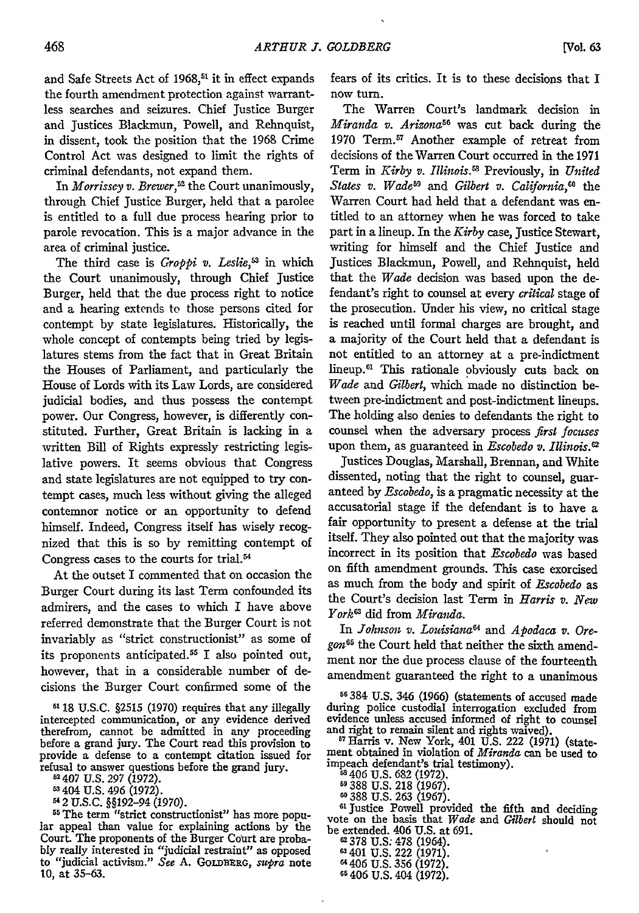and Safe Streets Act of 1968,<sup>51</sup> it in effect expands the fourth amendment protection against warrantless searches and seizures. Chief Justice Burger and Justices Blackmun, Powell, and Rehnquist, in dissent, took the position that the 1968 Crime Control Act was designed to limit the rights of criminal defendants, not expand them.

In *Morrissey v. Brewer*,<sup>52</sup> the Court unanimously, through Chief Justice Burger, held that a parolee is entitled to a full due process hearing prior to parole revocation. This is a major advance in the area of criminal justice.

The third case is *Groppi v. Leslie,3* in which the Court unanimously, through Chief Justice Burger, held that the due process right to notice and a hearing extends to those persons cited for contempt by state legislatures. Historically, the whole concept of contempts being tried by legislatures stems from the fact that in Great Britain the Houses of Parliament, and particularly the House of Lords with its Law Lords, are considered judicial bodies, and thus possess the contempt power. Our Congress, however, is differently constituted. Further, Great Britain is lacking in a written Bill of Rights expressly restricting legislative powers. It seems obvious that Congress and state legislatures are not equipped to try contempt cases, much less without giving the alleged contemnor notice or an opportunity to defend himself. Indeed, Congress itself has wisely recognized that this is so by remitting contempt of Congress cases to the courts for trial.%

At the outset I commented that on occasion the Burger Court during its last Term confounded its admirers, and the cases to which I have above referred demonstrate that the Burger Court is not invariably as "strict constructionist" as some of its proponents anticipated. <sup>55</sup>**I** also pointed out, however, that in a considerable number of decisions the Burger Court confirmed some of the

**61 18** U.S.C. §2515 (1970) requires that any illegally intercepted communication, or any evidence derived therefrom, cannot be admitted in any proceeding before a grand jury. The Court read this provision to provide a defense to a contempt citation issued for refusal to answer questions before the grand jury. "407 U.S. 297 (1972).

<sup>53</sup> 404 U.S. 496 (1972).

2 U.S.C. §§192-94 (1970).

**55** The term "strict constructionist" has more popular appeal than value for explaining actions by the Court. The proponents of the Burger Court are probably really interested in "judicial restraint" as opposed to "judicial activism." *See* A. **GoLnBE:RG,** *supra* note 10, at 35-63.

fears of its critics. It is to these decisions that I now turn.

The Warren Court's landmark decision in *Miranda v. Arizona56* was cut back during the 1970 Term.<sup>57</sup> Another example of retreat from decisions of the Warren Court occurred in the 1971 Term in *Kirby v. Illinois*.<sup>58</sup> Previously, in *United* States v. Wade<sup>59</sup> and Gilbert v. California,<sup>60</sup> the Warren Court had held that a defendant was entitled to an attorney when he was forced to take part in a lineup. In the *Kirby* case, Justice Stewart, writing for himself and the Chief Justice and Justices Blackmun, Powell, and Rehnquist, held that the *Wade* decision was based upon the defendant's right to counsel at every *critical* stage of the prosecution. Under his view, no critical stage is reached until formal charges are brought, and a majority of the Court held that a defendant is not entitled to an attorney at a pre-indictment lineup.<sup>61</sup> This rationale obviously cuts back on *Wade and Gilbert,* which made no distinction between pre-indictment and post-indictment lineups. The holding also denies to defendants the right to counsel when the adversary process *first focuses* upon them, as guaranteed in *Escobedo v. Illinois.0*

Justices Douglas, Marshall, Brennan, and White dissented, noting that the right to counsel, guaranteed by *Escobedo,* is a pragmatic necessity at the accusatorial stage if the defendant is to have a fair opportunity to present a defense at the trial itself. They also pointed out that the majority was incorrect in its position that *Escobedo* was based on fifth amendment grounds. This case exorcised as much from the body and spirit of *Escobedo* as the Court's decision last Term in *Harris v. New York* did from *Miranda.*

In *Johnson v. Louisiana"* and *Apodaca v. Oregon <sup>65</sup>*the Court held that neither the sixth amendment nor the due process clause of the fourteenth amendment guaranteed the right to a unanimous

**56384** U.S. 346 (1966) (statements of accused made during police custodial interrogation excluded from evidence unless accused informed of right to counsel and right to remain silent and rights waived).

**17** Harris v. New York, 401 U.S. 222 (1971) (statement obtained in violation of *Miranda* can be used to impeach defendant's trial testimony).<br>
<sup>48</sup> 406 U.S. 682 (1972).

<sup>59</sup> 388 U.S. 218 (1967).<br><sup>59</sup> 388 U.S. 263 (1967).

388 U.S. 263 (1967). **<sup>61</sup>**Justice Powell provided the fifth and deciding vote on the basis that *Wade and Gilbert* should not

be extended. 406 U.S. at 691.<br>
62 378 U.S. 478 (1964). <sup>2</sup> 378 U.S. 478 (1964<mark>)</mark><br>ª 401 U.S. 222 (1971) <sup>64</sup> 406 U.S. 356 (1972)<br><sup>65</sup> 406 U.S. 404 (1972)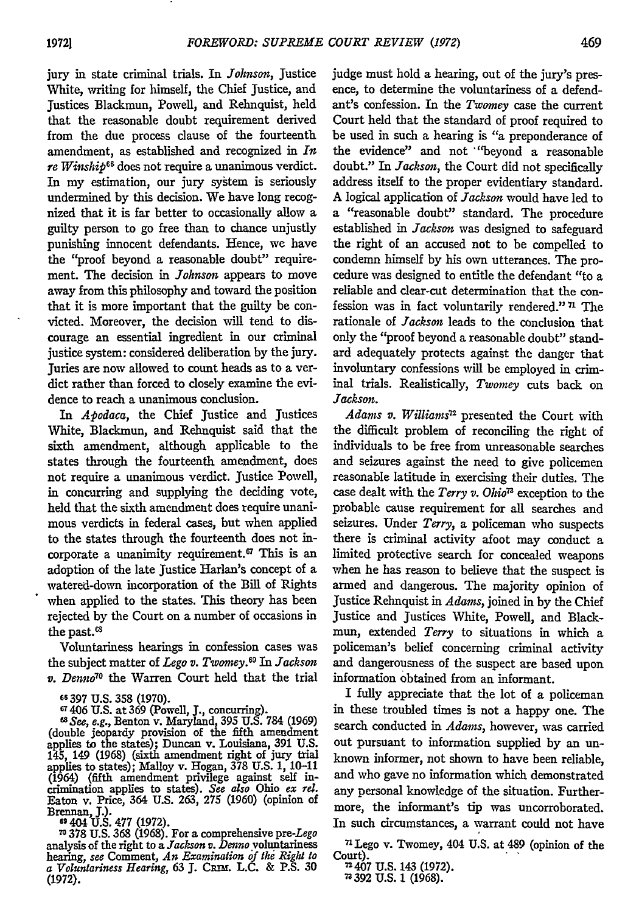jury in state criminal trials. In *Johnson,* Justice White, writing for himself, the Chief Justice, and Justices Blackmun, Powell, and Rehnquist, held that the reasonable doubt requirement derived from the due process clause of the fourteenth amendment, as established and recognized in *In re Winship'<sup>6</sup>*does not require a unanimous verdict. In my estimation, our jury system is seriously undermined by this decision. We have long recognized that it is far better to occasionally allow a guilty person to go free than to chance unjustly punishing innocent defendants. Hence, we have the "proof beyond a reasonable doubt" requirement. The decision in *Johnson* appears to move away from this philosophy and toward the position that it is more important that the guilty be convicted. Moreover, the decision will tend to discourage an essential ingredient in our criminal justice system: considered deliberation by the jury. Juries are now allowed to count heads as to a verdict rather than forced to closely examine the evidence to reach a unanimous conclusion.

*In Apodaca,* the Chief Justice and Justices White, Blackmun, and Rehnquist said that the sixth amendment, although applicable to the states through the fourteenth amendment, does not require a unanimous verdict. Justice Powell, in concurring and supplying the deciding vote, held that the sixth amendment does require unanimous verdicts in federal cases, but when applied to the states through the fourteenth does not incorporate a unanimity requirement.<sup> $\sigma$ </sup> This is an adoption of the late Justice Harlan's concept of a watered-down incorporation of the Bill of Rights when applied to the states. This theory has been rejected by the Court on a number of occasions in the past.<sup>63</sup>

Voluntariness hearings in confession cases was the subject matter of *Lego v. Twomey.6 9 In Jackson v. Denno7°* the Warren Court held that the trial

analysis of the right to a *Jackson v. Denno* voluntariness hearing, *see* Comment, *An Examination of the Right to a Voluntariness Hearing, 63* **J.** Calr. **L.C.** & **P.S.** <sup>30</sup> (1972).

judge must hold a hearing, out of the jury's presence, to determine the voluntariness of a defendant's confession. In the *Twomey* case the current Court held that the standard of proof required to be used in such a hearing is *"a* preponderance of the evidence" and not "beyond a reasonable doubt." In *Jackson,* the Court did not specifically address itself to the proper evidentiary standard. A logical application of *Jackson* would have led to a "reasonable doubt" standard. The procedure established in *Jackson* was designed to safeguard the right of an accused not to be compelled to condemn himself by his own utterances. The procedure was designed to entitle the defendant "to a reliable and clear-cut determination that the confession was in fact voluntarily rendered." *n* The rationale of *Jackson* leads to the conclusion that only the "proof beyond a reasonable doubt" standard adequately protects against the danger that involuntary confessions will be employed in criminal trials. Realistically, *Twomey* cuts back on *Jackson.*

Adams v. Williams<sup>12</sup> presented the Court with the difficult problem of reconciling the right of individuals to be free from unreasonable searches and seizures against the need to give policemen reasonable latitude in exercising their duties. The case dealt with the *Terry v. Ohio7'* exception to the probable cause requirement for all searches and seizures. Under *Terry,* a policeman who suspects there is criminal activity afoot may conduct a limited protective search for concealed weapons when he has reason to believe that the suspect is armed and dangerous. The majority opinion of Justice Rehnquist in *Adams,* joined in by the Chief Justice and Justices White, Powell, and Blackmun, extended *Terry* to situations in which a policeman's belief concerning criminal activity and dangerousness of the suspect are based upon information obtained from an informant.

I fully appreciate that the lot of a policeman in these troubled times is not a happy one. The search conducted in *Adams,* however, was carried out pursuant to information supplied by an unknown informer, not shown to have been reliable, and who gave no information which demonstrated any personal knowledge of the situation. Furthermore, the informant's tip was uncorroborated. In such circumstances, a warrant could not have

**<sup>7</sup>**Lego v. Twomey, 404 U.S. at 489 (opinion of the Court). 407 U.S. 143 **(1972). 392 U.S. 1 (1968).**

**<sup>66</sup> 397 U.S. 358 (1970).**

**<sup>67406</sup> U.S.** at **369** (Powell, **J.,** concurring).

*<sup>6</sup> See, e.g.,* Benton v. Maryland, **395 U.S.** 784 (1969) (double jeopardy provision of the fifth amendment applies to the states); Duncan v. Louisiana, **391** U.S. 145, 149 **(1968)** (sixth amendment right of jury trial applies to states); Malloy v. Hogan, **378** U.S. 1, **10-11** (1964) (fifth amendment privilege against self in-crimination applies to states). *See also Ohio ex* **rd.** Eaton v. Price, 364 U.S. **263, 275** (1960) (opinion of Brennan, J.).<br>
<sup>69</sup>404 U.S. 477 (1972).<br>
<sup>70</sup>378 U.S. 368 (1968). For a comprehensive pre-Lego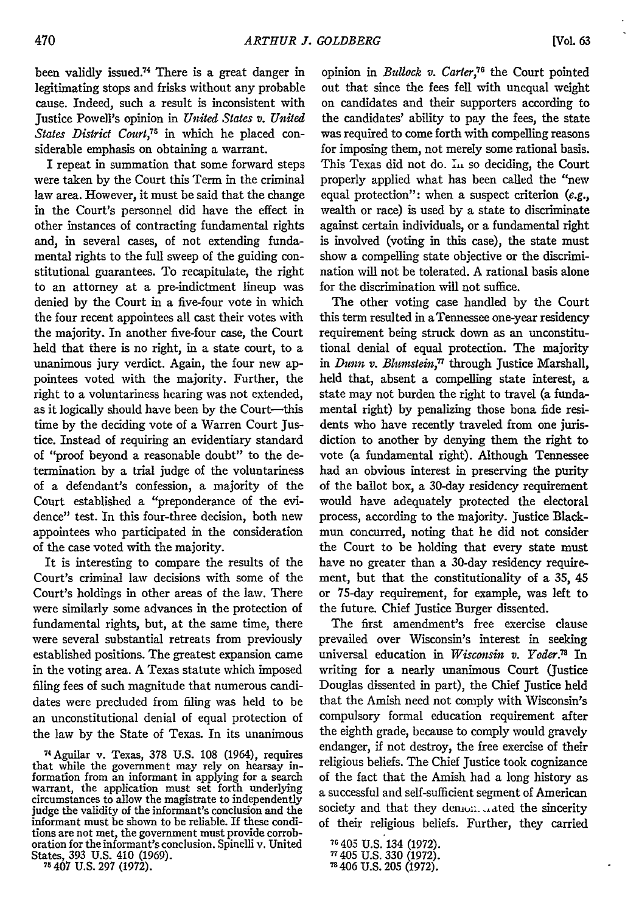been validly issued.74 There is a great danger in legitimating stops and frisks without any probable cause. Indeed, such a result is inconsistent with Justice Powell's opinion in *United States v. United* States District Court,<sup>75</sup> in which he placed considerable emphasis on obtaining a warrant.

I repeat in summation that some forward steps were taken by the Court this Term in the criminal law area. However, it must be said that the change in the Court's personnel did have the effect in other instances of contracting fundamental rights and, in several cases, of not extending fundamental rights to the full sweep of the guiding constitutional guarantees. To recapitulate, the right to an attorney at a pre-indictment lineup was denied by the Court in a five-four vote in which the four recent appointees all cast their votes with the majority. In another five-four case, the Court held that there is no right, in a state court, to a unanimous jury verdict. Again, the four new appointees voted with the majority. Further, the right to a voluntariness hearing was not extended, as it logically should have been by the Court-this time by the deciding vote of a Warren Court Justice. Instead of requiring an evidentiary standard of "proof beyond a reasonable doubt" to the determination by a trial judge of the voluntariness of a defendant's confession, a majority of the Court established a "preponderance of the evidence" test. In this four-three decision, both new appointees who participated in the consideration of the case voted with the majority.

It is interesting to compare the results of the Court's criminal law decisions with some of the Court's holdings in other areas of the law. There were similarly some advances in the protection of fundamental rights, but, at the same time, there were several substantial retreats from previously established positions. The greatest expansion came in the voting area. A Texas statute which imposed filing fees of such magnitude that numerous candidates were precluded from filing was held to be an unconstitutional denial of equal protection of the law by the State of Texas. In its unanimous

<sup>74</sup> Aguilar v. Texas, 378 U.S. 108 (1964), requires that while the government may rely on hearsay information from an informant in applying for a search warrant, the application must set forth underlying circumstances to allow the magistrate to independently judge the validity of the informant's conclusion and the informant must be shown to be reliable. If these conditions are not met, the government must provide corroboration for the informant's conclusion. Spinelli v. United States, 393 U.S. 410 (1969). **<sup>75</sup>**407 U.S. 297 (1972).

opinion in *Bullock v. Carter*,<sup>76</sup> the Court pointed out that since the fees fell with unequal weight on candidates and their supporters according to the candidates' ability to pay the fees, the state was required to come forth with compelling reasons for imposing them, not merely some rational basis. This Texas did not do. *L<sub>1</sub>* so deciding, the Court properly applied what has been called the "new equal protection": when a suspect criterion *(e.g.,* wealth or race) is used by a state to discriminate against certain individuals, or a fundamental right is involved (voting in this case), the state must show a compelling state objective or the discrimination will not be tolerated. A rational basis alone for the discrimination will not suffice.

The other voting case handled by the Court this term resulted in a Tennessee one-year residency requirement being struck down as an unconstitutional denial of equal protection. The majority in *Dunn v. Blumstein,17* through Justice Marshall, held that, absent a compelling state interest, a state may not burden the right to travel (a fundamental right) by penalizing those bona fide residents who have recently traveled from one jurisdiction to another by denying them the right to vote (a fundamental right). Although Tennessee had an obvious interest in preserving the purity of the ballot box, a 30-day residency requirement would have adequately protected the electoral process, according to the majority. Justice Blackmun concurred, noting that he did not consider the Court to be holding that every state must have no greater than a 30-day residency requirement, but that the constitutionality of a 35, 45 or 75-day requirement, for example, was left to the future. Chief Justice Burger dissented.

The first amendment's free exercise clause prevailed over Wisconsin's interest in seeking universal education in *Wisconsin v. Yoder*.<sup>78</sup> In writing for a nearly unanimous Court (Justice Douglas dissented in part), the Chief Justice held that the Amish need not comply with Wisconsin's compulsory formal education requirement after the eighth grade, because to comply would gravely endanger, if not destroy, the free exercise of their religious beliefs. The Chief Justice took cognizance of the fact that the Amish had a long history as a successful and self-sufficient segment of American society and that they demondered the sincerity of their religious beliefs. Further, they carried

 $\blacksquare$ 

**<sup>76</sup>** 405 U.S. 134 (1972). **-** 405 U.S. 330 (1972). " 406 U.S. 205 (1972).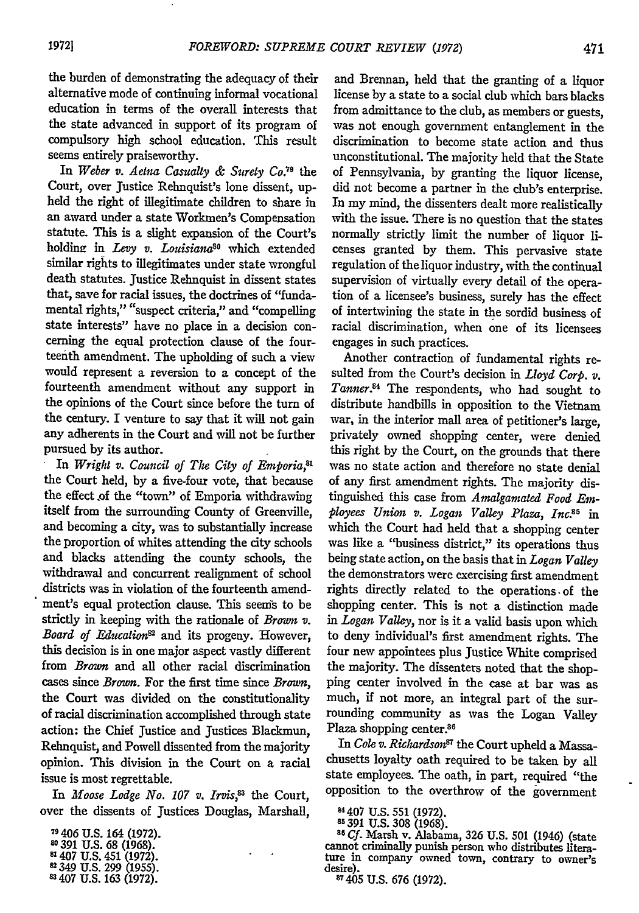the burden of demonstrating the adequacy of their alternative mode of continuing informal vocational education in terms of the overall interests that the state advanced in support of its program of compulsory high school education. This result seems entirely praiseworthy.

In *Weber v. Aetna Casualty & Surety Co.*<sup>79</sup> the Court, over Justice Rehnquist's lone dissent, upheld the right of illegitimate children to share in an award under a state Workmen's Compensation statute. This is a slight expansion of the Court's holding in *Levy v. Louisiana*<sup>80</sup> which extended similar rights to illegitimates under state wrongful death statutes. Justice Rehnquist in dissent states that, save for racial issues, the doctrines of "fundamental rights," "suspect criteria," and "compelling state interests" have no place in a decision concerning the equal protection clause of the fourteenth amendment. The upholding of such a view would represent a reversion to a concept of the fourteenth amendment without any support in the opinions of the Court since before the turn of the century. I venture to say that it will not gain any adherents in the Court and will not be further pursued by its author.

In *Wright v. Council of The City of Emporia,81* the Court held, by a five-four vote, that because the effect **.of** the "town" of Emporia withdrawing itself from the surrounding County of Greenville, and becoming a city, was to substantially increase the proportion of whites attending the city schools and blacks attending the county schools, the withdrawal and concurrent realignment of school districts was in violation of the fourteenth amendment's equal protection clause. This seems to be strictly in keeping with the rationale of *Brown v. Board of Education*<sup>82</sup> and its progeny. However, this decision is in one major aspect vastly different from *Brown* and all other racial discrimination cases since *Brown.* For the first time since *Brown,* the Court was divided on the constitutionality of racial discrimination accomplished through state action: the Chief justice and Justices Blackmun, Rehnquist, and Powell dissented from the majority opinion. This division in the Court on a racial issue is most regrettable.

In *Moose Lodge No. 107 v. Irvis*,<sup>83</sup> the Court, over the dissents of Justices Douglas, Marshall,

406 U.S. 164 (1972).

- **<sup>391</sup>**U.S. 68 (1968). **81407 U.S.** 451 (1972).
- 

349 U.S. 299 (1955).<br>407 U.S. 163 (1972).

and Brennan, held that the granting of a liquor license by a state to a social club which bars blacks from admittance to the club, as members or guests, was not enough government entanglement in the discrimination to become state action and thus unconstitutional. The majority held that the State of Pennsylvania, by granting the liquor license, did not become a partner in the club's enterprise. In my mind, the dissenters dealt more realistically with the issue. There is no question that the states normally strictly limit the number of liquor licenses granted by them. This pervasive state regulation of the liquor industry, with the continual supervision of virtually every detail of the operation of a licensee's business, surely has the effect of intertwining the state in the sordid business of racial discrimination, when one of its licensees engages in such practices.

Another contraction of fundamental rights resulted from the Court's decision in *Lloyd Corp. v. Tanner.4* The respondents, who had sought to distribute handbills in opposition to the Vietnam war, in the interior mall area of petitioner's large, privately owned shopping center, were denied this right by the Court, on the grounds that there was no state action and therefore no state denial of any first amendment rights. The majority distinguished this case from *Amalgamated Food Employees Union v. Logan Valley Plaza, Inc.85* in which the Court had held that a shopping center was like a "business district," its operations thus being state action, on the basis that in *Logan Valley* the demonstrators were exercising first amendment rights directly related to the operations. of the shopping center. This is not a distinction made in *Logan Valley,* nor is it a valid basis upon which to deny individual's first amendment rights. The four new appointees plus Justice White comprised the majority. The dissenters noted that the shopping center involved in the case at bar was as much, if not more, an integral part of the surrounding community as was the Logan Valley Plaza shopping center.<sup>86</sup>

In *Cole v. Richardson<sup>81</sup>* the Court upheld a Massachusetts loyalty oath required to be taken by all state employees. The oath, in part, required "the opposition to the overthrow of the government

**88391 U.S. 308 (1968).** *<sup>8</sup>***Cf.** Marsh v. Alabama, 326 U.S. 501 (1946) (state cannot criminally punish person who distributes literature in company owned town, contrary to owner's desire).

405 **U.S. 676** (1972).

<sup>&</sup>lt;sup>84</sup> 407 U.S. 551 (1972).<br><sup>85</sup> 391 U.S. 308 (1968).